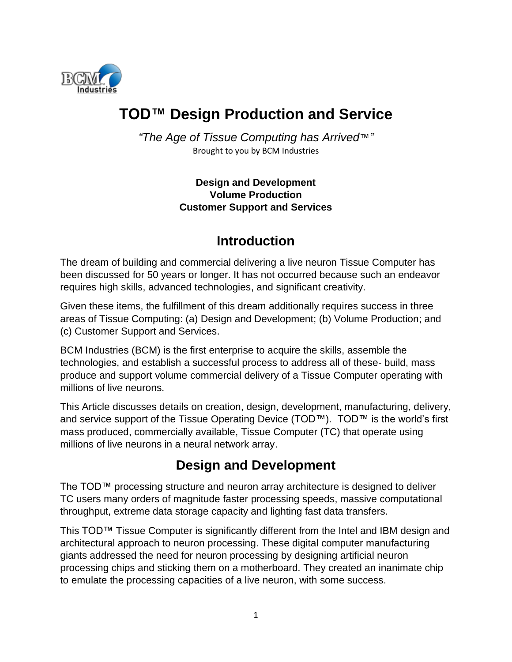

# **TOD™ Design Production and Service**

*"The Age of Tissue Computing has Arrived*™*"* Brought to you by BCM Industries

> **Design and Development Volume Production Customer Support and Services**

### **Introduction**

The dream of building and commercial delivering a live neuron Tissue Computer has been discussed for 50 years or longer. It has not occurred because such an endeavor requires high skills, advanced technologies, and significant creativity.

Given these items, the fulfillment of this dream additionally requires success in three areas of Tissue Computing: (a) Design and Development; (b) Volume Production; and (c) Customer Support and Services.

BCM Industries (BCM) is the first enterprise to acquire the skills, assemble the technologies, and establish a successful process to address all of these- build, mass produce and support volume commercial delivery of a Tissue Computer operating with millions of live neurons.

This Article discusses details on creation, design, development, manufacturing, delivery, and service support of the Tissue Operating Device (TOD™). TOD™ is the world's first mass produced, commercially available, Tissue Computer (TC) that operate using millions of live neurons in a neural network array.

# **Design and Development**

The TOD™ processing structure and neuron array architecture is designed to deliver TC users many orders of magnitude faster processing speeds, massive computational throughput, extreme data storage capacity and lighting fast data transfers.

This TOD™ Tissue Computer is significantly different from the Intel and IBM design and architectural approach to neuron processing. These digital computer manufacturing giants addressed the need for neuron processing by designing artificial neuron processing chips and sticking them on a motherboard. They created an inanimate chip to emulate the processing capacities of a live neuron, with some success.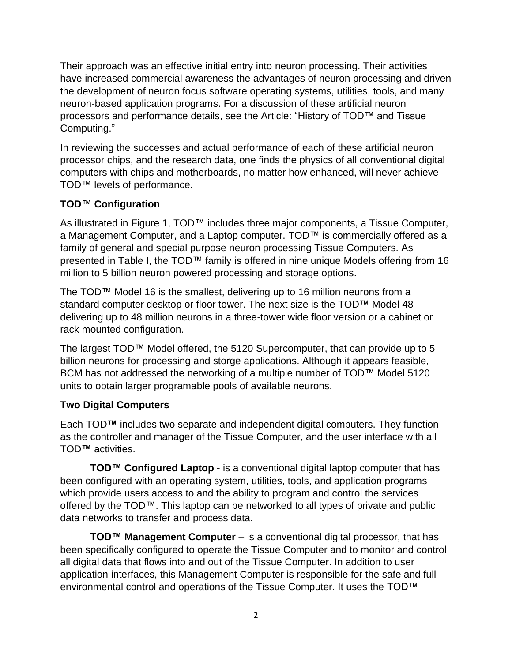Their approach was an effective initial entry into neuron processing. Their activities have increased commercial awareness the advantages of neuron processing and driven the development of neuron focus software operating systems, utilities, tools, and many neuron-based application programs. For a discussion of these artificial neuron processors and performance details, see the Article: "History of TOD™ and Tissue Computing."

In reviewing the successes and actual performance of each of these artificial neuron processor chips, and the research data, one finds the physics of all conventional digital computers with chips and motherboards, no matter how enhanced, will never achieve TOD™ levels of performance.

### **TOD**™ **Configuration**

As illustrated in Figure 1, TOD™ includes three major components, a Tissue Computer, a Management Computer, and a Laptop computer. TOD™ is commercially offered as a family of general and special purpose neuron processing Tissue Computers. As presented in Table I, the TOD™ family is offered in nine unique Models offering from 16 million to 5 billion neuron powered processing and storage options.

The TOD™ Model 16 is the smallest, delivering up to 16 million neurons from a standard computer desktop or floor tower. The next size is the TOD™ Model 48 delivering up to 48 million neurons in a three-tower wide floor version or a cabinet or rack mounted configuration.

The largest TOD™ Model offered, the 5120 Supercomputer, that can provide up to 5 billion neurons for processing and storge applications. Although it appears feasible, BCM has not addressed the networking of a multiple number of TOD™ Model 5120 units to obtain larger programable pools of available neurons.

### **Two Digital Computers**

Each TOD**™** includes two separate and independent digital computers. They function as the controller and manager of the Tissue Computer, and the user interface with all TOD**™** activities.

**TOD™ Configured Laptop** - is a conventional digital laptop computer that has been configured with an operating system, utilities, tools, and application programs which provide users access to and the ability to program and control the services offered by the TOD™. This laptop can be networked to all types of private and public data networks to transfer and process data.

**TOD™ Management Computer** – is a conventional digital processor, that has been specifically configured to operate the Tissue Computer and to monitor and control all digital data that flows into and out of the Tissue Computer. In addition to user application interfaces, this Management Computer is responsible for the safe and full environmental control and operations of the Tissue Computer. It uses the TOD™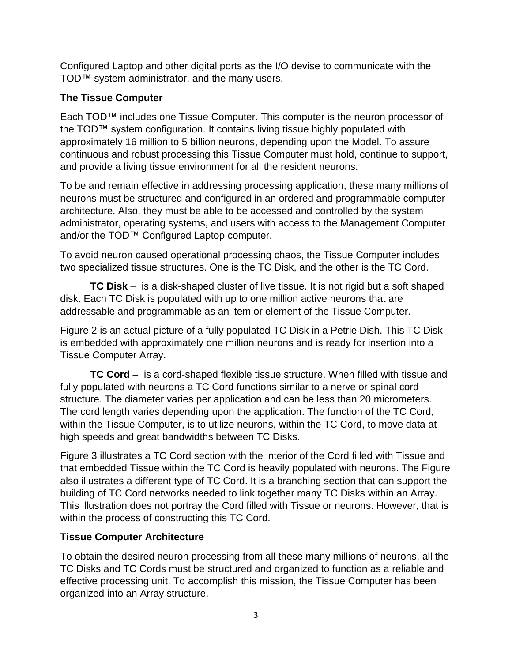Configured Laptop and other digital ports as the I/O devise to communicate with the TOD™ system administrator, and the many users.

#### **The Tissue Computer**

Each TOD™ includes one Tissue Computer. This computer is the neuron processor of the TOD™ system configuration. It contains living tissue highly populated with approximately 16 million to 5 billion neurons, depending upon the Model. To assure continuous and robust processing this Tissue Computer must hold, continue to support, and provide a living tissue environment for all the resident neurons.

To be and remain effective in addressing processing application, these many millions of neurons must be structured and configured in an ordered and programmable computer architecture. Also, they must be able to be accessed and controlled by the system administrator, operating systems, and users with access to the Management Computer and/or the TOD™ Configured Laptop computer.

To avoid neuron caused operational processing chaos, the Tissue Computer includes two specialized tissue structures. One is the TC Disk, and the other is the TC Cord.

**TC Disk** – is a disk-shaped cluster of live tissue. It is not rigid but a soft shaped disk. Each TC Disk is populated with up to one million active neurons that are addressable and programmable as an item or element of the Tissue Computer.

Figure 2 is an actual picture of a fully populated TC Disk in a Petrie Dish. This TC Disk is embedded with approximately one million neurons and is ready for insertion into a Tissue Computer Array.

**TC Cord** – is a cord-shaped flexible tissue structure. When filled with tissue and fully populated with neurons a TC Cord functions similar to a nerve or spinal cord structure. The diameter varies per application and can be less than 20 micrometers. The cord length varies depending upon the application. The function of the TC Cord, within the Tissue Computer, is to utilize neurons, within the TC Cord, to move data at high speeds and great bandwidths between TC Disks.

Figure 3 illustrates a TC Cord section with the interior of the Cord filled with Tissue and that embedded Tissue within the TC Cord is heavily populated with neurons. The Figure also illustrates a different type of TC Cord. It is a branching section that can support the building of TC Cord networks needed to link together many TC Disks within an Array. This illustration does not portray the Cord filled with Tissue or neurons. However, that is within the process of constructing this TC Cord.

### **Tissue Computer Architecture**

To obtain the desired neuron processing from all these many millions of neurons, all the TC Disks and TC Cords must be structured and organized to function as a reliable and effective processing unit. To accomplish this mission, the Tissue Computer has been organized into an Array structure.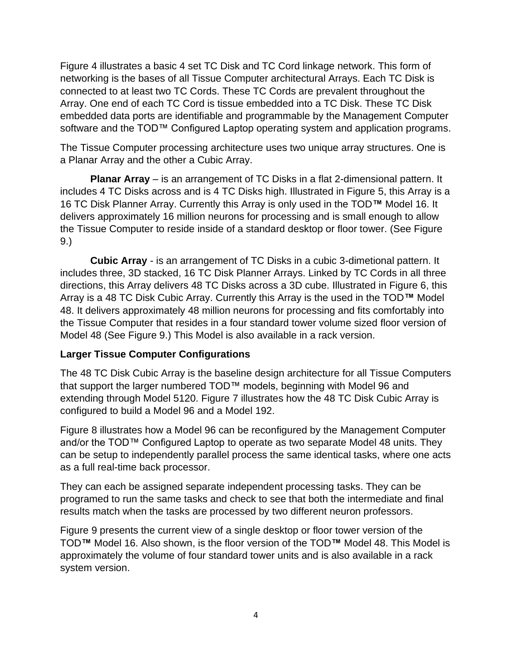Figure 4 illustrates a basic 4 set TC Disk and TC Cord linkage network. This form of networking is the bases of all Tissue Computer architectural Arrays. Each TC Disk is connected to at least two TC Cords. These TC Cords are prevalent throughout the Array. One end of each TC Cord is tissue embedded into a TC Disk. These TC Disk embedded data ports are identifiable and programmable by the Management Computer software and the TOD™ Configured Laptop operating system and application programs.

The Tissue Computer processing architecture uses two unique array structures. One is a Planar Array and the other a Cubic Array.

**Planar Array** – is an arrangement of TC Disks in a flat 2-dimensional pattern. It includes 4 TC Disks across and is 4 TC Disks high. Illustrated in Figure 5, this Array is a 16 TC Disk Planner Array. Currently this Array is only used in the TOD**™** Model 16. It delivers approximately 16 million neurons for processing and is small enough to allow the Tissue Computer to reside inside of a standard desktop or floor tower. (See Figure 9.)

**Cubic Array** - is an arrangement of TC Disks in a cubic 3-dimetional pattern. It includes three, 3D stacked, 16 TC Disk Planner Arrays. Linked by TC Cords in all three directions, this Array delivers 48 TC Disks across a 3D cube. Illustrated in Figure 6, this Array is a 48 TC Disk Cubic Array. Currently this Array is the used in the TOD**™** Model 48. It delivers approximately 48 million neurons for processing and fits comfortably into the Tissue Computer that resides in a four standard tower volume sized floor version of Model 48 (See Figure 9.) This Model is also available in a rack version.

#### **Larger Tissue Computer Configurations**

The 48 TC Disk Cubic Array is the baseline design architecture for all Tissue Computers that support the larger numbered TOD™ models, beginning with Model 96 and extending through Model 5120. Figure 7 illustrates how the 48 TC Disk Cubic Array is configured to build a Model 96 and a Model 192.

Figure 8 illustrates how a Model 96 can be reconfigured by the Management Computer and/or the TOD™ Configured Laptop to operate as two separate Model 48 units. They can be setup to independently parallel process the same identical tasks, where one acts as a full real-time back processor.

They can each be assigned separate independent processing tasks. They can be programed to run the same tasks and check to see that both the intermediate and final results match when the tasks are processed by two different neuron professors.

Figure 9 presents the current view of a single desktop or floor tower version of the TOD**™** Model 16. Also shown, is the floor version of the TOD**™** Model 48. This Model is approximately the volume of four standard tower units and is also available in a rack system version.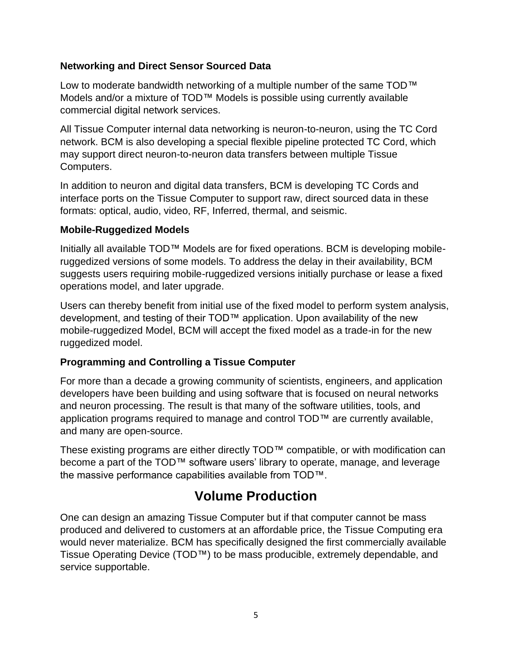#### **Networking and Direct Sensor Sourced Data**

Low to moderate bandwidth networking of a multiple number of the same TOD™ Models and/or a mixture of TOD™ Models is possible using currently available commercial digital network services.

All Tissue Computer internal data networking is neuron-to-neuron, using the TC Cord network. BCM is also developing a special flexible pipeline protected TC Cord, which may support direct neuron-to-neuron data transfers between multiple Tissue Computers.

In addition to neuron and digital data transfers, BCM is developing TC Cords and interface ports on the Tissue Computer to support raw, direct sourced data in these formats: optical, audio, video, RF, Inferred, thermal, and seismic.

#### **Mobile-Ruggedized Models**

Initially all available TOD™ Models are for fixed operations. BCM is developing mobileruggedized versions of some models. To address the delay in their availability, BCM suggests users requiring mobile-ruggedized versions initially purchase or lease a fixed operations model, and later upgrade.

Users can thereby benefit from initial use of the fixed model to perform system analysis, development, and testing of their TOD™ application. Upon availability of the new mobile-ruggedized Model, BCM will accept the fixed model as a trade-in for the new ruggedized model.

#### **Programming and Controlling a Tissue Computer**

For more than a decade a growing community of scientists, engineers, and application developers have been building and using software that is focused on neural networks and neuron processing. The result is that many of the software utilities, tools, and application programs required to manage and control TOD™ are currently available, and many are open-source.

These existing programs are either directly TOD™ compatible, or with modification can become a part of the TOD™ software users' library to operate, manage, and leverage the massive performance capabilities available from TOD™.

# **Volume Production**

One can design an amazing Tissue Computer but if that computer cannot be mass produced and delivered to customers at an affordable price, the Tissue Computing era would never materialize. BCM has specifically designed the first commercially available Tissue Operating Device (TOD™) to be mass producible, extremely dependable, and service supportable.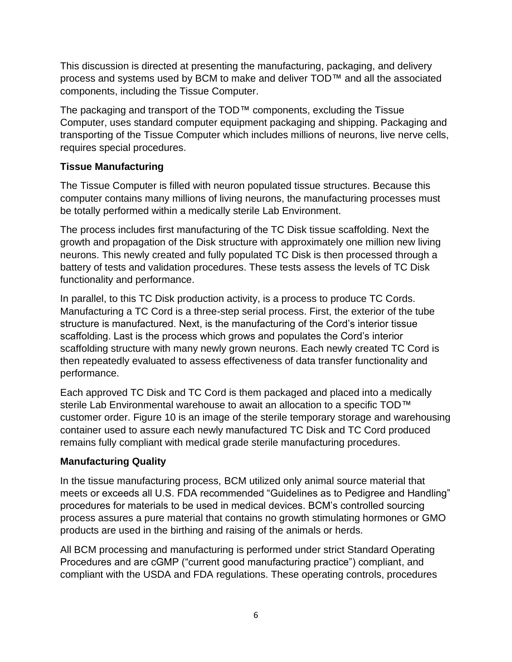This discussion is directed at presenting the manufacturing, packaging, and delivery process and systems used by BCM to make and deliver TOD™ and all the associated components, including the Tissue Computer.

The packaging and transport of the TOD™ components, excluding the Tissue Computer, uses standard computer equipment packaging and shipping. Packaging and transporting of the Tissue Computer which includes millions of neurons, live nerve cells, requires special procedures.

#### **Tissue Manufacturing**

The Tissue Computer is filled with neuron populated tissue structures. Because this computer contains many millions of living neurons, the manufacturing processes must be totally performed within a medically sterile Lab Environment.

The process includes first manufacturing of the TC Disk tissue scaffolding. Next the growth and propagation of the Disk structure with approximately one million new living neurons. This newly created and fully populated TC Disk is then processed through a battery of tests and validation procedures. These tests assess the levels of TC Disk functionality and performance.

In parallel, to this TC Disk production activity, is a process to produce TC Cords. Manufacturing a TC Cord is a three-step serial process. First, the exterior of the tube structure is manufactured. Next, is the manufacturing of the Cord's interior tissue scaffolding. Last is the process which grows and populates the Cord's interior scaffolding structure with many newly grown neurons. Each newly created TC Cord is then repeatedly evaluated to assess effectiveness of data transfer functionality and performance.

Each approved TC Disk and TC Cord is them packaged and placed into a medically sterile Lab Environmental warehouse to await an allocation to a specific TOD™ customer order. Figure 10 is an image of the sterile temporary storage and warehousing container used to assure each newly manufactured TC Disk and TC Cord produced remains fully compliant with medical grade sterile manufacturing procedures.

#### **Manufacturing Quality**

In the tissue manufacturing process, BCM utilized only animal source material that meets or exceeds all U.S. FDA recommended "Guidelines as to Pedigree and Handling" procedures for materials to be used in medical devices. BCM's controlled sourcing process assures a pure material that contains no growth stimulating hormones or GMO products are used in the birthing and raising of the animals or herds.

All BCM processing and manufacturing is performed under strict Standard Operating Procedures and are cGMP ("current good manufacturing practice") compliant, and compliant with the USDA and FDA regulations. These operating controls, procedures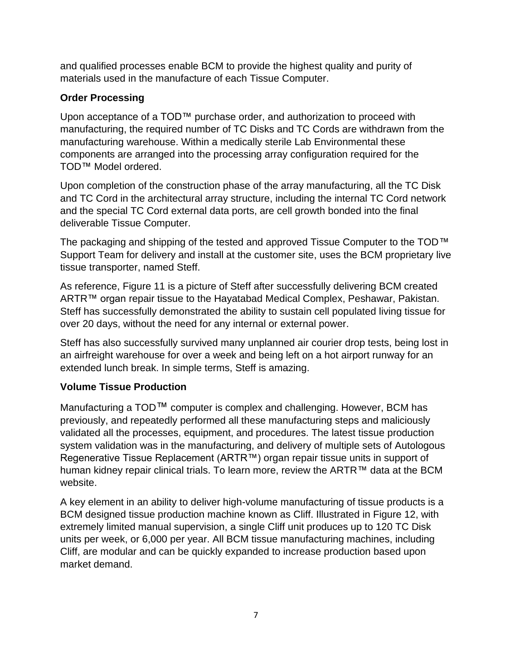and qualified processes enable BCM to provide the highest quality and purity of materials used in the manufacture of each Tissue Computer.

### **Order Processing**

Upon acceptance of a TOD™ purchase order, and authorization to proceed with manufacturing, the required number of TC Disks and TC Cords are withdrawn from the manufacturing warehouse. Within a medically sterile Lab Environmental these components are arranged into the processing array configuration required for the TOD™ Model ordered.

Upon completion of the construction phase of the array manufacturing, all the TC Disk and TC Cord in the architectural array structure, including the internal TC Cord network and the special TC Cord external data ports, are cell growth bonded into the final deliverable Tissue Computer.

The packaging and shipping of the tested and approved Tissue Computer to the TOD™ Support Team for delivery and install at the customer site, uses the BCM proprietary live tissue transporter, named Steff.

As reference, Figure 11 is a picture of Steff after successfully delivering BCM created ARTR™ organ repair tissue to the Hayatabad Medical Complex, Peshawar, Pakistan. Steff has successfully demonstrated the ability to sustain cell populated living tissue for over 20 days, without the need for any internal or external power.

Steff has also successfully survived many unplanned air courier drop tests, being lost in an airfreight warehouse for over a week and being left on a hot airport runway for an extended lunch break. In simple terms, Steff is amazing.

### **Volume Tissue Production**

Manufacturing a TOD™ computer is complex and challenging. However, BCM has previously, and repeatedly performed all these manufacturing steps and maliciously validated all the processes, equipment, and procedures. The latest tissue production system validation was in the manufacturing, and delivery of multiple sets of Autologous Regenerative Tissue Replacement (ARTR™) organ repair tissue units in support of human kidney repair clinical trials. To learn more, review the ARTR™ data at the BCM website.

A key element in an ability to deliver high-volume manufacturing of tissue products is a BCM designed tissue production machine known as Cliff. Illustrated in Figure 12, with extremely limited manual supervision, a single Cliff unit produces up to 120 TC Disk units per week, or 6,000 per year. All BCM tissue manufacturing machines, including Cliff, are modular and can be quickly expanded to increase production based upon market demand.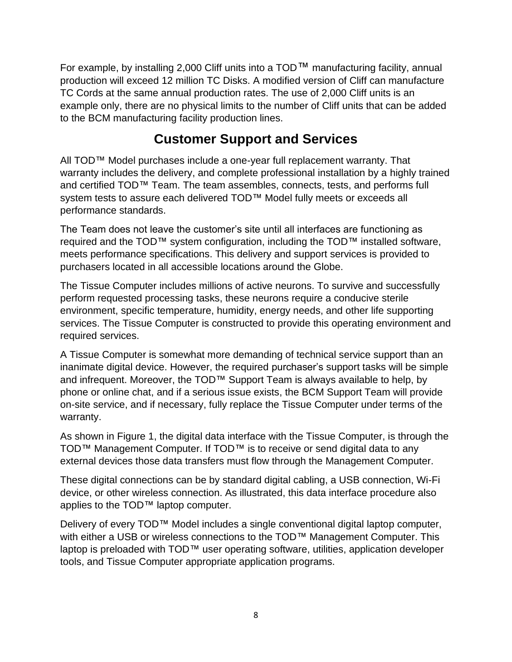For example, by installing 2,000 Cliff units into a TOD™ manufacturing facility, annual production will exceed 12 million TC Disks. A modified version of Cliff can manufacture TC Cords at the same annual production rates. The use of 2,000 Cliff units is an example only, there are no physical limits to the number of Cliff units that can be added to the BCM manufacturing facility production lines.

# **Customer Support and Services**

All TOD™ Model purchases include a one-year full replacement warranty. That warranty includes the delivery, and complete professional installation by a highly trained and certified TOD™ Team. The team assembles, connects, tests, and performs full system tests to assure each delivered TOD™ Model fully meets or exceeds all performance standards.

The Team does not leave the customer's site until all interfaces are functioning as required and the TOD™ system configuration, including the TOD™ installed software, meets performance specifications. This delivery and support services is provided to purchasers located in all accessible locations around the Globe.

The Tissue Computer includes millions of active neurons. To survive and successfully perform requested processing tasks, these neurons require a conducive sterile environment, specific temperature, humidity, energy needs, and other life supporting services. The Tissue Computer is constructed to provide this operating environment and required services.

A Tissue Computer is somewhat more demanding of technical service support than an inanimate digital device. However, the required purchaser's support tasks will be simple and infrequent. Moreover, the TOD™ Support Team is always available to help, by phone or online chat, and if a serious issue exists, the BCM Support Team will provide on-site service, and if necessary, fully replace the Tissue Computer under terms of the warranty.

As shown in Figure 1, the digital data interface with the Tissue Computer, is through the TOD™ Management Computer. If TOD™ is to receive or send digital data to any external devices those data transfers must flow through the Management Computer.

These digital connections can be by standard digital cabling, a USB connection, Wi-Fi device, or other wireless connection. As illustrated, this data interface procedure also applies to the TOD™ laptop computer.

Delivery of every TOD™ Model includes a single conventional digital laptop computer, with either a USB or wireless connections to the TOD™ Management Computer. This laptop is preloaded with TOD™ user operating software, utilities, application developer tools, and Tissue Computer appropriate application programs.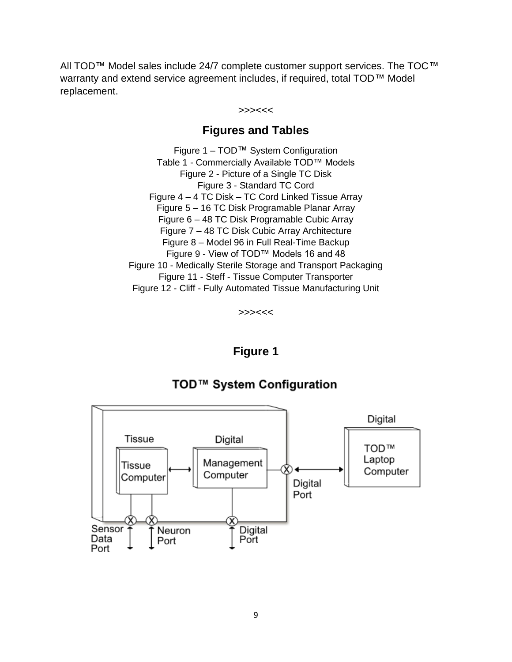All TOD™ Model sales include 24/7 complete customer support services. The TOC™ warranty and extend service agreement includes, if required, total TOD™ Model replacement.

#### >>><<<

### **Figures and Tables**

Figure 1 – TOD™ System Configuration Table 1 - Commercially Available TOD™ Models Figure 2 - Picture of a Single TC Disk Figure 3 - Standard TC Cord Figure 4 – 4 TC Disk – TC Cord Linked Tissue Array Figure 5 – 16 TC Disk Programable Planar Array Figure 6 – 48 TC Disk Programable Cubic Array Figure 7 – 48 TC Disk Cubic Array Architecture Figure 8 – Model 96 in Full Real-Time Backup Figure 9 - View of TOD™ Models 16 and 48 Figure 10 - Medically Sterile Storage and Transport Packaging Figure 11 - Steff - Tissue Computer Transporter Figure 12 - Cliff - Fully Automated Tissue Manufacturing Unit

>>><<<

#### **Figure 1**



### TOD™ System Configuration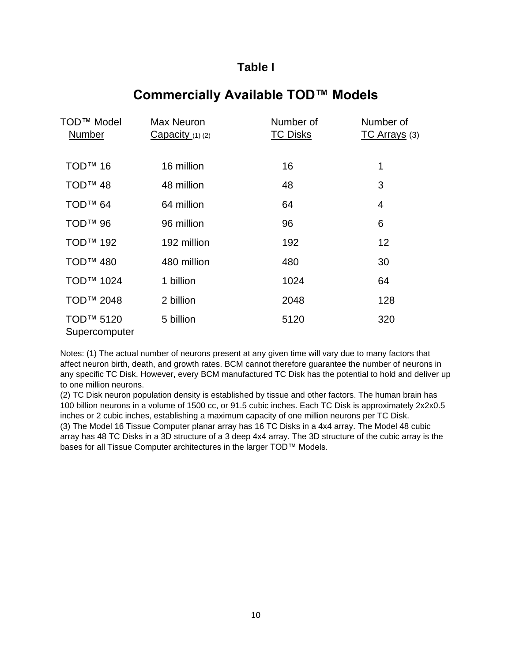### **Table I**

### **Commercially Available TOD™ Models**

| TOD <sup>™</sup> Model<br>Number       | Max Neuron<br>Capacity(1)(2) | Number of<br><b>TC Disks</b> | Number of<br>TC Arrays (3) |
|----------------------------------------|------------------------------|------------------------------|----------------------------|
| TOD <sup>™</sup> 16                    | 16 million                   | 16                           | 1                          |
| TOD <sup>™</sup> 48                    | 48 million                   | 48                           | 3                          |
| TOD <sup>™</sup> 64                    | 64 million                   | 64                           | 4                          |
| TOD <sup>™</sup> 96                    | 96 million                   | 96                           | 6                          |
| <b>TOD™ 192</b>                        | 192 million                  | 192                          | 12                         |
| TOD <sup>™</sup> 480                   | 480 million                  | 480                          | 30                         |
| TOD <sup>™</sup> 1024                  | 1 billion                    | 1024                         | 64                         |
| TOD <sup>™</sup> 2048                  | 2 billion                    | 2048                         | 128                        |
| TOD <sup>™</sup> 5120<br>Supercomputer | 5 billion                    | 5120                         | 320                        |

Notes: (1) The actual number of neurons present at any given time will vary due to many factors that affect neuron birth, death, and growth rates. BCM cannot therefore guarantee the number of neurons in any specific TC Disk. However, every BCM manufactured TC Disk has the potential to hold and deliver up to one million neurons.

(2) TC Disk neuron population density is established by tissue and other factors. The human brain has 100 billion neurons in a volume of 1500 cc, or 91.5 cubic inches. Each TC Disk is approximately 2x2x0.5 inches or 2 cubic inches, establishing a maximum capacity of one million neurons per TC Disk. (3) The Model 16 Tissue Computer planar array has 16 TC Disks in a 4x4 array. The Model 48 cubic array has 48 TC Disks in a 3D structure of a 3 deep 4x4 array. The 3D structure of the cubic array is the bases for all Tissue Computer architectures in the larger TOD™ Models.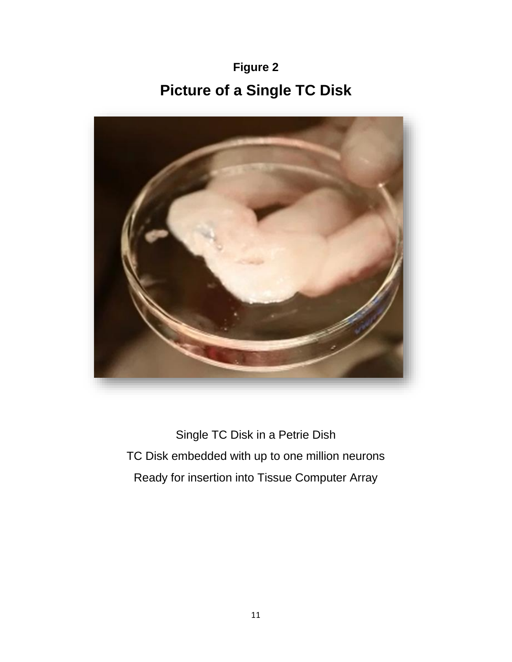**Figure 2 Picture of a Single TC Disk**



Single TC Disk in a Petrie Dish TC Disk embedded with up to one million neurons Ready for insertion into Tissue Computer Array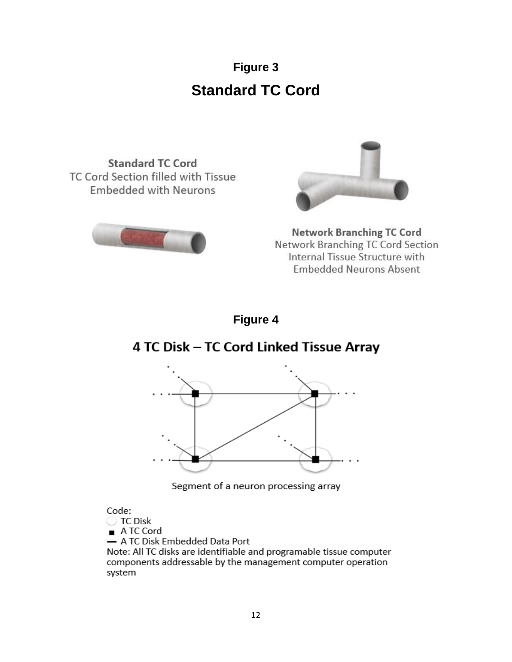# **Figure 3 Standard TC Cord**

**Standard TC Cord** TC Cord Section filled with Tissue **Embedded with Neurons** 





**Network Branching TC Cord** Network Branching TC Cord Section Internal Tissue Structure with **Embedded Neurons Absent** 

### **Figure 4**

# 4 TC Disk - TC Cord Linked Tissue Array



Segment of a neuron processing array

#### Code:

◯ TC Disk

A TC Cord

- A TC Disk Embedded Data Port

Note: All TC disks are identifiable and programable tissue computer components addressable by the management computer operation system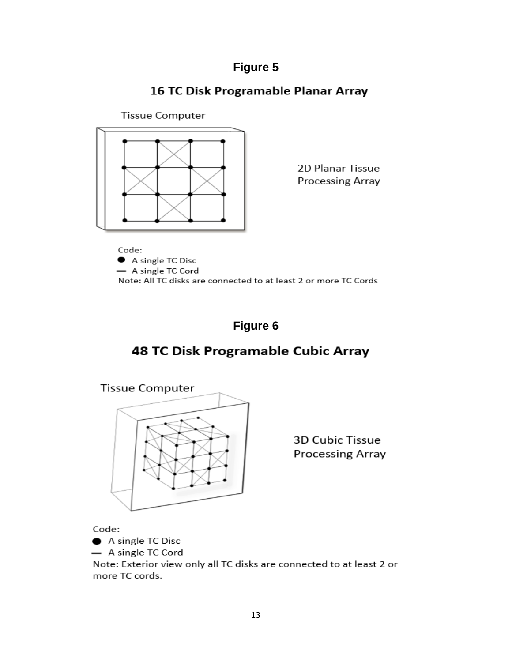### 16 TC Disk Programable Planar Array

**Tissue Computer** 



2D Planar Tissue **Processing Array** 

Code: A single TC Disc - A single TC Cord Note: All TC disks are connected to at least 2 or more TC Cords

# **Figure 6**

# 48 TC Disk Programable Cubic Array



3D Cubic Tissue **Processing Array** 

Code:

A single TC Disc

- A single TC Cord

Note: Exterior view only all TC disks are connected to at least 2 or more TC cords.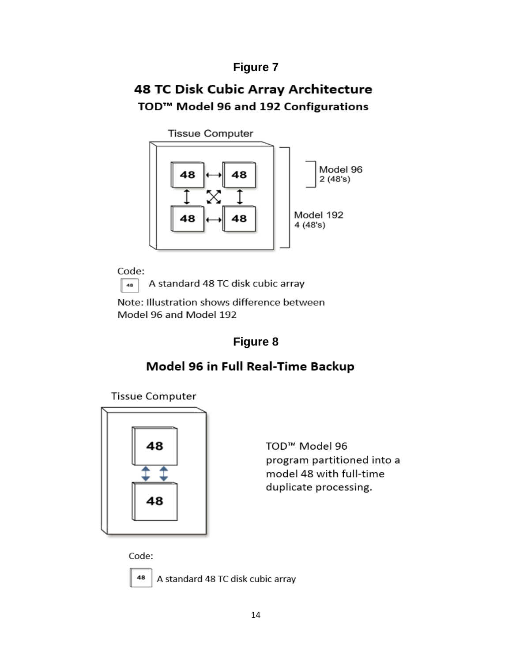# 48 TC Disk Cubic Array Architecture TOD<sup>™</sup> Model 96 and 192 Configurations

**Tissue Computer** 



Code: 48

A standard 48 TC disk cubic array

Note: Illustration shows difference between Model 96 and Model 192

# **Figure 8**

# Model 96 in Full Real-Time Backup

**Tissue Computer** 



TOD<sup>™</sup> Model 96 program partitioned into a model 48 with full-time duplicate processing.

Code:



A standard 48 TC disk cubic array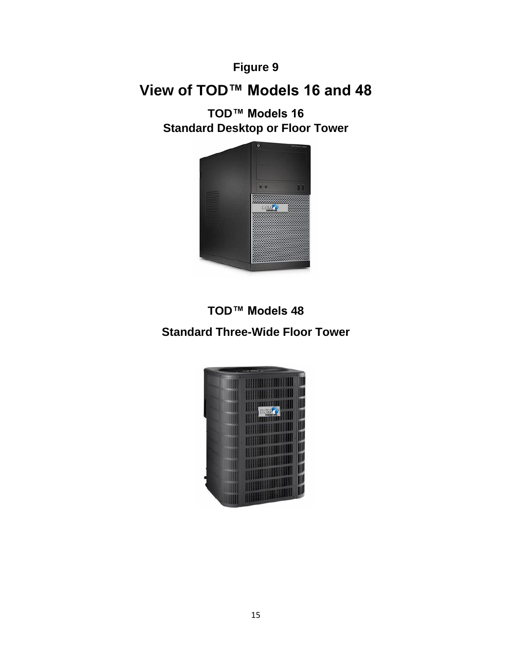# **View of TOD™ Models 16 and 48**

**TOD™ Models 16 Standard Desktop or Floor Tower**



**TOD™ Models 48 Standard Three-Wide Floor Tower**

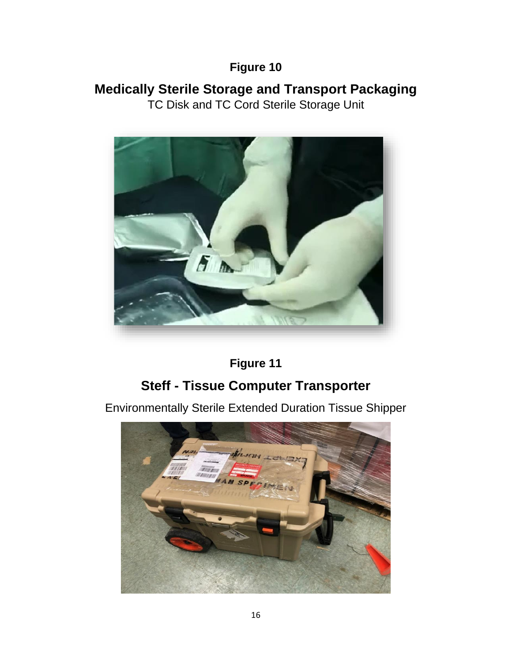# **Medically Sterile Storage and Transport Packaging**

TC Disk and TC Cord Sterile Storage Unit



**Figure 11**

# **Steff - Tissue Computer Transporter**

Environmentally Sterile Extended Duration Tissue Shipper